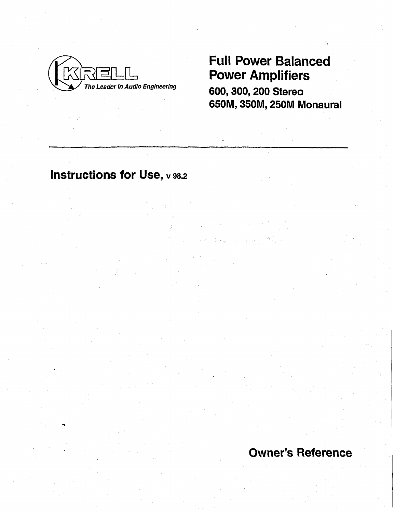

# Full Power Balanced Power Amplifiers

600, 300, 200 Stereo 650M, 350M, 250M Monaural

# Instructions for Use, v 98.2

Owner's Reference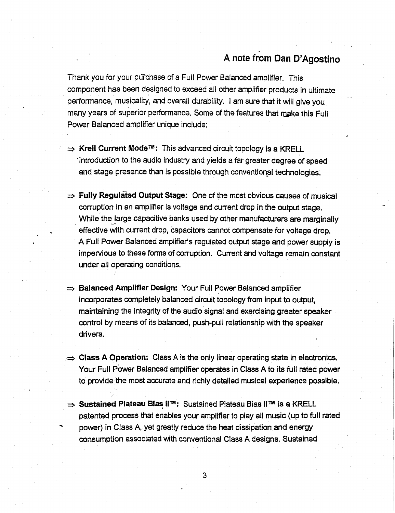# **A note from Dan D'Agostino**

Thank you for your purchase of a Full Power Balanced amplifier. This component has been designed to exceed all other amplifier products in ultimate performance, musicality, and overall durability. I am sure that it will give you many years of superior performance. Some of the features that make this Full Power Balanced amplifier unique include:

- ⇒ **Kreil Current Mode<sup>™</sup>:** This advanced circuit topology is a KRELL introduction to the audio industry and yields a far greater degree of speed and stage presence than is possible through conventional technologies'.
- $\Rightarrow$  **Fully Regulated Output Stage:** One of the most obvious causes of musical corruption in an amplifier is voltage and current drop in the output stage. While the large capacitive banks used by other manufacturers are marginally effective with current drop, capacitors cannot compensate for voltage drop. A Full Power Balanced amplifier's regulated output stage and power supply is impervious to these forms of corruption. Current and voltage remain constant under all operating conditions.
- **Balanced Amplifier Design:** Your Full Power Balanced amplifier incorporates completely balanced circuit topology from input to output, maintaining the integrity of the audio signal and exercising greater speaker control by means of its balanced, push-pull relationship with the speaker drivers.
- **Class A Operation:** Class A is the only linear operating state in electronics. Your Full Power Balanced amplifier operates in Class A to its full rated power to provide the most accurate and richly detailed musical experience possible.
- ⇒ Sustained Plateau Bias II<sup>m</sup>: Sustained Plateau Bias II<sup>m</sup> is a KRELL patented process that enables your amplifier to play all music (up to full rated power) in Class A, yet greatly reduce the heat dissipation and energy consumption associated with conventional Class A designs. Sustained

3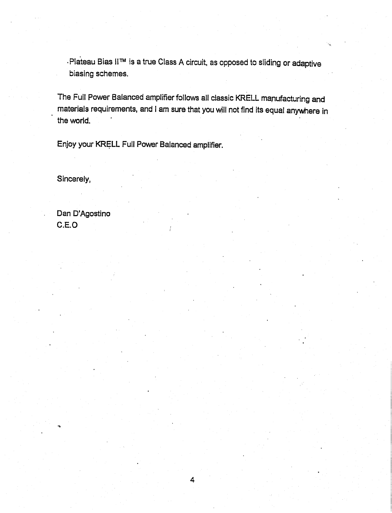. Plateau Bias II™ is a true Class A circuit, as opposed to sliding or adaptive biasing schemes.

The Full Power Balanced amplifier follows all classic KRELL manufacturing and materials requirements, and I am sure that you will not find its equal anywhere in the world.

Enjoy your KRELL Full Power Balanced amplifier.

Sincerely,

**Dan D'Agostino** C.E.O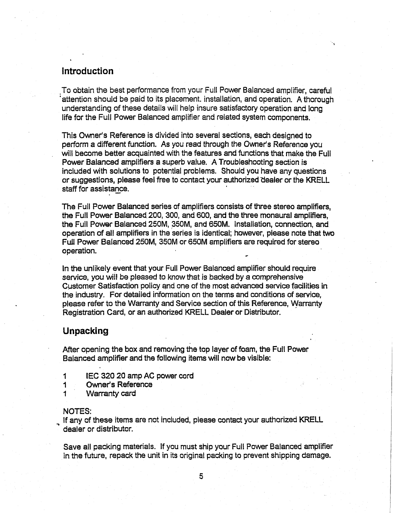## Introduction

To obtain the best performance from your Full Power Balanced amplifier, careful 'attention should be paid to its placement, installation, and operation. A thorough understanding of these details will help insure satisfactory operation and long life for the Full Power Balanced amplifier and related system components.

This Owner's Reference is divided into several sections, each designed to perform a different function. As you read through the Owner's Reference you will become better acquainted with the features and functions that make the Full Power Balanced amplifiers a superb value..A Troubleshooting section is included with solutions to potential problems. Should you have any questions or suggestions, please feel free to contact your authorized dealer or the KRELL staff for assistance.

The Full Power Balanced series of amplifiers consists of three stereo amplifiers, the Full Power Balanced 200, 300, and 600, and the three monaural amplifiers, the Full Power Balanced 250M, 350M, and 650M. Installation, connection, and operation of all amplifiers in the series is identical; however, please note that two Full Power Balanced 250M, 350M or 650M amplifiers are required for stereo operation.

In the unlikely event that your Full Power Balanced amplifier should require service, you will be pleased to know that is backed by a comprehensive Customer Satisfaction policy and one of the most advanced service facilities in the industry. For detailed information on the terms and conditions of service, please refer to the Warranty and Service section of this Reference, Warranty Registration Card, or an authorized KRELL Dealer or Distributor.

### **Unpacking**

After opening the box and removing the top layer of foam, the Full Power Balanced amplifier and the following items will now be visible:

- $\mathbf 1$ IEC 320 20 amp AC power cord
- 1 Owner's Reference
- 1 Warranty card

#### NOTES:

If any of these items are not included, please contact your authorized KRELL dealer or distributor.

Save all packing materials. If you must ship your Full Power Balanced amplifier in the future, repack the unit in its original packing to prevent shipping damage.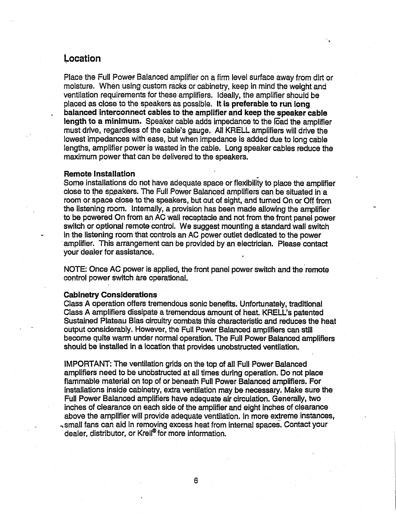### **Location**

Place the Full Power Balanced amplifier on a firm level surface away from dirt or moisture. When using custom racks or cabinetry, keep in mind the weight and ventilation requirements for these amplifiers. Ideally, the amplifier should be placed as close to the speakers as possible. It is **preferable to run long balanced interconnect cables to the amplifier and keep the speaker cable** length to a minimum. Speaker cable adds impedance to the load the amplifier must drive, regardless of the cable's gauge. All KRELL amplifiers will drive the lowest impedances with ease, but when impedance is added due to long cable lengths, amplifier power is wasted in the cable. Long speaker cables reduce the maximum power that can be delivered to the speakers.

#### **Remote Installation**

Some installations do not have adequate, space or flexibility to place the amplifier close to the speakers. The Full Power Balanced amplifiers can be situated in a room or space close to the speakers, but out of sight, and turned On or Off from the listening room. Intemally, a provision has been made allowing the amplifier to be powered On from an AC wall receptacle and not from the front panel power switch or optional remote control. We suggest mounting a standard wall switch in the listening room that controls an AC power outlet dedicated to the power amplifier. This arrangement can be provided by an electrician. Please contact your dealer for assistance.

NOTE: Once AC power is applied, the front panel power switch and the remote control power switch are operational.

#### **Cabinetry Considerations**

Class A operation offers tremendous sonic benefits. Unfortunately, traditional Class A amplifiers dissipate a tremendous amount of heat. KRELL's patented Sustained Plateau Bias circuitry combats this characteristic and reduces the heat output considerably. However, the Full Power Balanced amplifiers can still become quite warm under normal operation. The Full Power Balanced amplifiers should be installed in a location that provides unobstructed ventilation.

IMPORTANT: The ventilation grids on the top of all Full Power Balanced amplifiers need to be unobstructed at all times during operation. Do not place flammable material on top of or beneath Full Power Balanced amplifiers. For installations inside cabinetry, extra ventilation may be necessary. Make sure the Full Power Balanced amplifiers have adequate air circulation. Generally, two inches of clearance on each side of the amplifier and eight inches of clearance above the amplifier will provide adequate ventilation. In more extreme instances, -small fans can aid in removing excess heat from internal spaces. Contact your dealer, distributor, or Krell<sup>®</sup> for more information.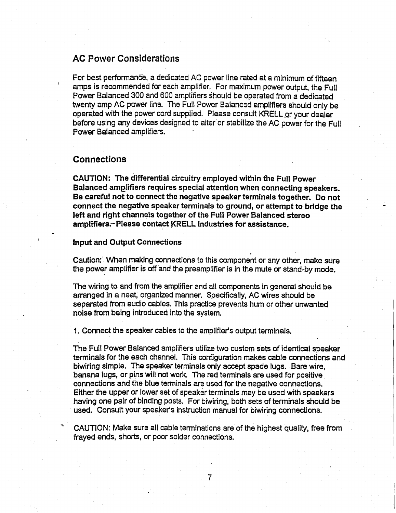# **AC Power Considerations**

For best performance, a dedicated AC power line rated at a minimum of fifteen amps is recommended for each amplifier. For maximum power output, the Full Power Balanced 300 and 600 amplifiers Should be operated from a dedicated twenty amp AC power line. The Full Power Balanced amplifiers should only be operated with the power cord supplied. Please consult KRELL or your dealer before using any devices designed to alter or stabilize the AC power for the Full Power Balanced amplifiers.

#### **Connections**

CAUTION: The differential circuitry employed within the Full Power Balanced amplifiers requires special attention when connecting speakers. Be careful not to connect the negative speaker terminals together. Do **not connect** the negative speaker terminals to ground, or attempt to bridge the left and right channels together of the Full Power Balanced stereo **amplifiers.-Please contact KRELL: Industries for assistance.**

#### **Input and Output Connections**

Caution: When making connections to this component or any other, make sure the power amplifier is off and the preamplifier is in the mute or stand-by mode.

The wiring to and from the amplifier and all components in general should be arranged in a neat, organized manner. Specifically, AC wires should be separated from audio cables. This practice prevents hum or other unwanted noise from being introduced into the system.

1. Connect the speaker cables to the amplifier's output terminals.

The Full Power Balanced amplifiers utilize two custom sets of identical speaker terminals for the each channel. This configuration makes cable connections and biwiring simple. The speaker terminals only accept spade lugs. Bare wire, banana lugs, or pins will not work. The red terminals are used for positive connections and the blue terminals are used for the negative connections. Either the upper or lower set of speaker terminals may be used with speakers having one pair of binding posts. For biwiring, both sets of terminals should be used. Consult your speaker's instruction manual for biwiring connections.

CAUTION: Make sure all cable terminations are of the highest quality, free from frayed ends, shorts, or poor solder connections.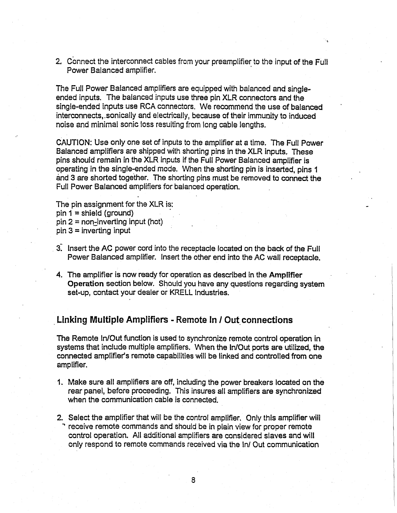2. Connect the interconnect cables from your preamplifier to the input of the Full Power Balanced amplifier.

The Full Power Balanced amplifiers are equipped with balanced and singleended inputs. The balanced inputs use three pin XLR connectors and the single-ended inputs use RCA connectors. We recommend the use of balanced interconnects, sonically and electrically, because of their immunity to induced noise and minimal sonic loss resulting from long cable lengths.

CAUTION: Use only one set of inputs to the amplifier at a time. The Full Power Balanced amplifiers are shipped with shorting pins in the XLR inputs, These pins should remain in the XLR inputs if the Full Power Balanced amplifier is operating in the single-ended mode. When the shorting pin is inserted, pins 1 and 3 are shorted together. The shorting pins must be removed to connect the Full Power Balanced amplifiers for balanced operation.

The pin assignment for the XLR is:  $pin 1 = shield (ground)$  $pin 2 = non-inverting input (hot)$  $pin 3 = inverting input$ 

- 3. Insert the AC power cord into the receptacle located on the back of the Full Power Balanced amplifier. Insert the other end in'to the AC wall receptacle.
- The amplifier is now ready for operation as described in the Amplifier Operation section below. Should you have any questions regarding system set-up, contact your dealer or KRELL Industries.

# **¯ Linking Multiple Amplifiers - Remote In / Out connections**

The Remote In/Out function is used to synchronize remote control operation in systems that include multiple amplifiers. When the In/Out ports are utilized, the connected amplifier's remote capabilities will be linked and controlled from one **amplifier.**

- Make sure all amplifiers are off, including the power breakers located on the rear panel, before proceeding. This insures-all amplifiers are synchronized when the communication cable is connected.
- 2. Select the amplifier that will be the control amplifier, Only this amplifier will receive remote commands and should be in plain view for proper remote control operation. All additional amplifiers are considered slaves and will only respond to remote commands received via the In/Out communication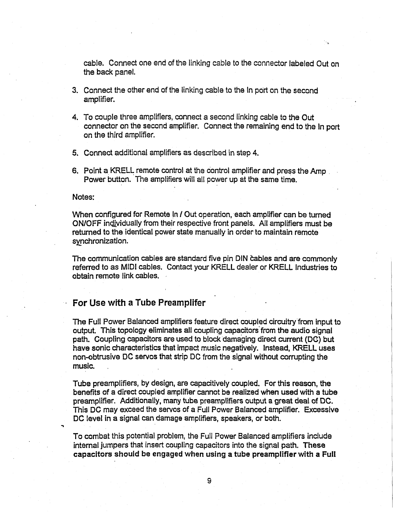cable. Connect one end of the linking cable to the connector labeled Out on the back panel.

- 3. Connect the other end of the linking cable to the In port on the second amplifier.
- 4. To couple three amplifiers, connect a second linking cable to the Out connector on the second amplifier. Connect the remaining end to the In port on the third amplifier.
- 5. Connect additional amplifiers as described in step 4.
- 6. Point a KRELL remote control at the control amplifier and press the Amp. Power button. The amplifiers will all power up at the same time.

#### **Notes:**

When configured for Remote In / Out operation, each amplifier can be turned ON/OFF individually from their respective front panels. All amplifiers must be returned to the identical power state manually in order to maintain remote synchronization.

The communication cables are standard five pin DIN cables and are commonly referred to as MIDI cables. Contact your KRELL dealer or KRELL Industries to obtain remote link cables.

#### **For Use with a Tube Preamplifer**

The Full Power Balanced amplifiers feature direct coupled circuitry from input to output. This topology eliminates all coupling capacitors from the audio signal path. Coupling capacitors are used to block damaging direct current (DC) but have sonic characteristics that impact music negatively. Instead, KRELL uses non-obtrusive DC servos that strip DC from the signal without corrupting the music.

Tube preamplifiers, by design, are capacitively coupled. For this reason, the benefits of a direct coupled amplifier cannot be realized when used with a tube preamplifier. Additionally, many tube preamplifiers output a great deal of DC. This DC may exceed the servos of a Full Power Balanced amplifier. Excessive DC level in a signal can damage amplifiers, speakers, or both.

To combat this potential problem, the Full Power Balanced amplifiers include internal jumpers that insert coupling capacitors into the signal path. **These capacitors should be engaged when using a tube preamplifier with a Full**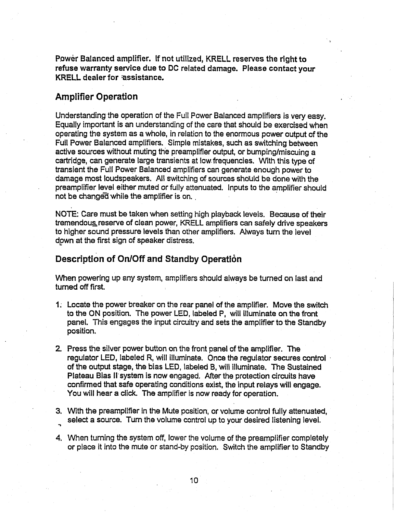**Powbr Balanced amplifier. If not utilized, KRELL reserves the right to refuse warranty service due to DC related damage. Please contact your KRELL dealer for =assistance.**

# **Amplifier Operation**

Understanding the operation of the Full Power Balanced amplifiers is very easy. Equally important is an understanding of the care that should be exercised when operating the system as a whole, in relation to the enormous power output of the Full Power Balanced amplifiers. Simple mistakes, such as switching between active sources without muting the preamplifier output, or bumping/miscuing a cartridge, can generate large transients at low.frequencies. With this type of transient the Full Power Balanced amplifiers can generate enough power to damage most loudspeakers. All switching of sources should be done with the preamplifier level either muted or fully attenuated. Inputs to the amplifier should not be changed while the amplifier is on.

NOTE: Care must be taken when setting high playback levels. Because of their tremendous reserve of clean power, KRELL amplifiers can safely drive speakers to higher sound pressure levels than other amplifiers. Always turn the level down at the first sign of speaker distress.

### **Description of On/Off and Standby Operation**

When powering up any system, amplifiers should always be turned on last and turned off first.

- Locate the power breaker on the rear panel of the amplifier. Move the switch to the ON position. The power LED, labeled P, will illuminate on the from panel. This engages the input circuitry and sets the amplifier to the Standby position.
- 2. Press the silver power button on the front panel of the amplifier. The regulator LED, labeled R, will illuminate. Once the regulator secures control of the output stage, the bias LED, labeled B, will illuminate. The Sustained Plateau Bias II system is now engaged. After the protection circuits have confirmed that safe operating conditions exist, the input relays will **engage.** You will hear a click. The amplifier is now ready for operation.
- 3. With the preamplifier in the Mute position, or volume control fully attenuated, select a source. Turn the volume control up to your desired listening level.
- 4. When turning the system off, lower the volume of the preamplifier completely or place it into the mute or stand-by position. Switch the amplifier to Standby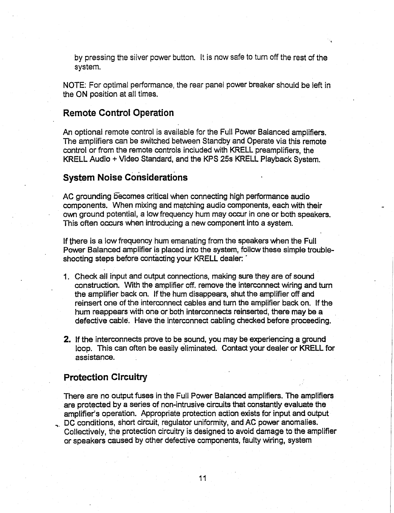by pressing the silver power button. It is now safe to turn off the rest of the system.

NOTE: For optimal performance, the rear panel power breaker should be left in the ON position at all times.

#### **Remote Control Operation**

An optional remote control is available for the Full Power Balanced amplifiers. The amplifiers can be switched between Standby and Operate via this remote control or from the remote controls included with KRELL preamplifiers, the KRELL Audio + Video Standard, and the KPS 25s KRELL Playback System.

## **System Noise Considerations**

AC grounding Eecomes critical when connecting high performance audio components. When mixing and matching audio components, each with their own ground potential, a low frequency hum may occur in one or both speakers. This often occurs when introducing a new component into a system.

If there is a low frequency hum emanating from the speakers when the Full Power Balanced amplifier is placed into the system, follow these simple troubleshooting steps before contacting your KRELL dealer:

- 1. Check all input and output connections, making sure they are of sound construction. With the amplifier off. remove the interconnect wiring and turn the amplifier back on. if the hum disappears, shut the amplifier off and reinsert one of the interconnect cables and turn the amplifier back on. If the hum reappears with one or both interconnects reinserted, there may be a defective cable. Have the interconnect cabling checked before proceeding.
- **2.** If the interconnects prove to be sound, you may be experiencing a ground loop. This can often be easily eliminated. Contact your dealer or KRELL **for assistance.**

# **Protection Circuitry**

There are no output fuses in the Full Power Balanced amplifiers. The amplifiers **are protected by a series of non-intrusive circuits that constantly evaluate the** amplifier's operation. Appropriate protection action exists for input and output DC conditions, short circuit, regulator uniformity, and AC power anomalies.

Collectively, the protection circuitry is designed to avoid damage to the amplifier or speakers caused by other defective components, faulty wiring, system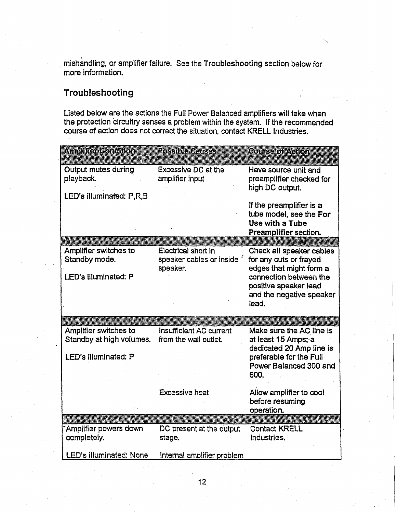mishandling, or amplifier failure. See the Troubleshooting section below for more information.

# **Troubleshooting**

Listed below are the actions the Full Power Balanced amplifiers will take when the protection circuitry senses a problem within the system. If the recommended course of action does not correct the situation, contact KRELL Industries.

| Amplifier Condition                     | <b>Possible Causes</b>                 | Course of Action                                                                                |
|-----------------------------------------|----------------------------------------|-------------------------------------------------------------------------------------------------|
| <b>Output mutes during</b><br>playback. | Excessive DC at the<br>amplifier input | Have source unit and<br>preamplifier checked for<br>high DC output.                             |
| LED's illuminated: P,R,B                |                                        | If the preamplifier is a<br>tube model, see the For<br>Use with a Tube<br>Preamplifier section. |
| Amplifier switches to                   | Electrical short in                    | Check all speaker cables                                                                        |
| Standby mode.                           | speaker cables or inside               | for any cuts or frayed                                                                          |
|                                         | speaker.                               | edges that might form a                                                                         |
| LED's illuminated: P                    |                                        | connection between the<br>positive speaker lead                                                 |
|                                         |                                        | and the negative speaker                                                                        |
|                                         |                                        | lead.                                                                                           |
|                                         |                                        |                                                                                                 |
| Amplifier switches to                   | <b>Insufficient AC current</b>         | Make sure the AC line is                                                                        |
| Standby at high volumes.                | from the wall outlet.                  | at least 15 Amps; a                                                                             |
|                                         |                                        | dedicated 20 Amp line is                                                                        |
| LED's illuminated: P                    |                                        | preferable for the Full<br>Power Balanced 300 and                                               |
|                                         |                                        | 600.                                                                                            |
|                                         |                                        |                                                                                                 |
|                                         | <b>Excessive heat</b>                  | Allow amplifier to cool                                                                         |
|                                         |                                        | before resuming<br>operation.                                                                   |
|                                         |                                        |                                                                                                 |
| 'Amplifier powers down                  | DC present at the output               | <b>Contact KRELL</b>                                                                            |
| completely.                             | stage.                                 | Industries.                                                                                     |
| <b>LED's illuminated: None</b>          | Internal amplifier problem             |                                                                                                 |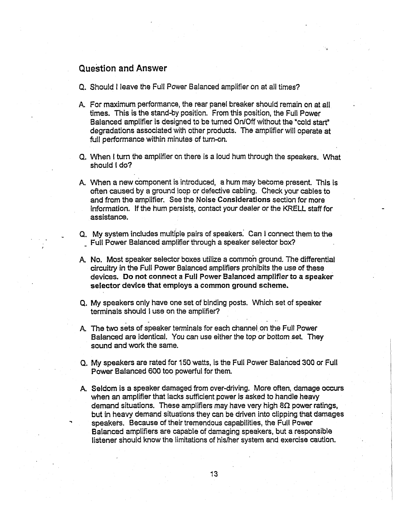# **Question and Answer**

- Q. Should I leave the Full Power Balanced amplifier on at all times?
- For maximum performance, the rear panel breaker should remain on at all times. This is the stand-by position. From this position, the Full Power Balanced amplifier is designed to be turned On/Off without the "cold start" degradations associated with other products. The amplifier will operate at full performance within minutes of turn-on.
- Q. When I turn the amplifier on there is a loud hum through the speakers. What should I do?
- A. When a new component is introduced, a hum may become present. This is often caused by a ground loop or defective cabling. Check your cables to and from the amplifier. See the Noise Considerations section for more information. If the hum persists, contact your dealer or the KRELL staff for assistance.
- Q. My system includes multiple pairs of speakers. Can I connect them to the Full Power Balanced amplifier through a speaker selector box?
- No. Most speaker selector boxes utilize a commoh ground. The differential circuitry in the Full Power Balanced amplifiers prohibits the use of these devices. Do **not connect** a Full Power Balanced amplifier to a speaker **selector device that employs a common ground scheme.**
- Q. My speakers only have one set of binding posts. Which set of speaker terminals should I use on the amplifier?
- A. The two sets of speaker terminals for each channel on the Full Power Balanced are identical. You can use either the top or bottom set. They sound and work the same.
- Q. My speakers are rated for 150 watts, is the Full Power Balanced 300 or Full Power Balanced 600 too powerful for them.
- A. Seldom is a speaker damaged from over-driving. More often, damage occurs when an amplifier that lacks sufficient power is asked to handle heavy demand situations. These amplifiers may have very high  $8\Omega$  power ratings, but in heavy demand situations they can be driven into clipping that damages speakers. Because of their tremendous capabilities, the Full Power Balanced amplifiers are capable of damaging speakers, but a responsible listener should know the limitations of his/her system and exercise caution.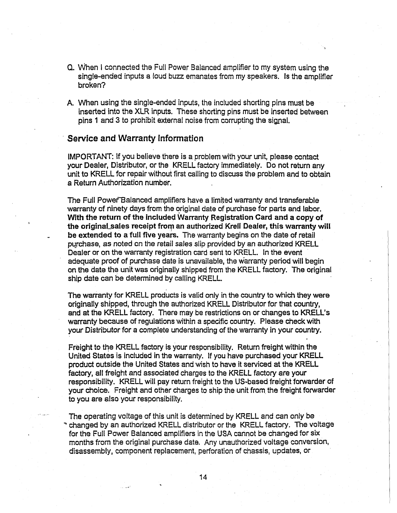- (3.When I connected the Full Power Balanced amplifier to my system using the single-ended inputs a loud buzz emanates from my speakers. Is the amplifier broken?
- A. When using the single-ended inputs, the included shorting pins must be inserted into the XLR inputs. These shorting pins must be inserted between pins 1 and 3 to prohibit external noise from corrupting the signal.

#### **Service and Warranty Information**

IMPORTANT: If you believe there is a problem with your unit, please contact your Dealer, Distributor, or the KRELL factory immediately. Do not return any unit to KRELL for repair without first calling to discuss the problem and to obtain a Return Authorization number.

The Full Power'Balanced amplifiers have a limited warranty and transferable warranty of ninety days from the original date of purchase for parts and labor. With the return of the included Warranty Registration Card and a copy of the original\_sales receipt from an authorized Kreli Dealer, this warranty will be extended to a full five years. The warranty begins on the date of retail purchase, as noted on the retail sales slip provided by an authorized KRELL Dealer or on the warranty registration card sent to KRELL. In the event adequate proof of purchase date is unavailable, the warranty period will begin on the date the unit was originally shipped from the KRELL factory. The original ship date can be determined by calling KRELL.

The warranty for KRELL products is valid only in the country to which they were originally shipped, through the authorized KRELL Distributor for that country, and at the KRELL factory. There may be restrictions on or changes to KRELL's warranty because of regulations within a specific country. Please check with your Distributor for a complete understanding of the warranty in your country.

Freight to the KRELL factory is your responsibility. Return freight within the United States is included in the warranty. If you have purchased your KRELL product outside the United States and wish to have it serviced at the KRELL factory, all freight and associated charges to the KRELL factory are your responsibility. KRELL will pay return freight to the US-based freight forwarder of your choice. Freight and other charges to ship the unit from the freight forwarder to you are also your responsibility.

The operating voltage of this unit is determined by KRELL and can only be changed by an authorized KRELL distributor or the KRELL factory. The voltage for the Full Power Balanced amplifiers in the USA cannot be changed for six months from the original purchase date. Any unauthorized voltage conversion, disassembly, component replacement, perforation of chassis, updates, or

14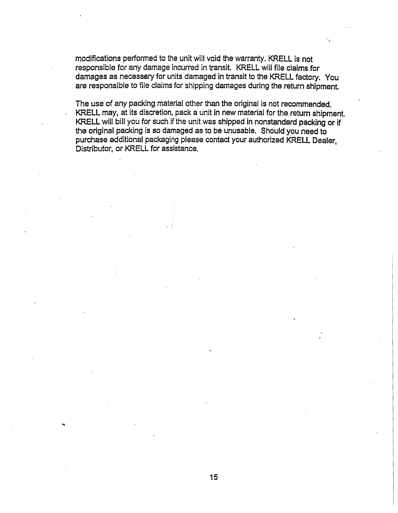modifications performed to the unit will void the warranty. KRELL is not responsible for any damage incurred in transit. KRELL will file claims for damages as necessary for units damaged in transit to the KRELL factory. You are responsible to file claims for shipping damages during the return shipment.

The use of any packing material other than the original is not recommended. KRELL may, at its discretion, pack a unit in new material for the return shipment. KRELL will bill you for such if the unit was shipped in nonstandard packing or if the original packing is so damaged as to be unusable. Should you need to purchase additional packaging please contact your authorized KRELL Dealer, Distributor, or KRELL for assistance.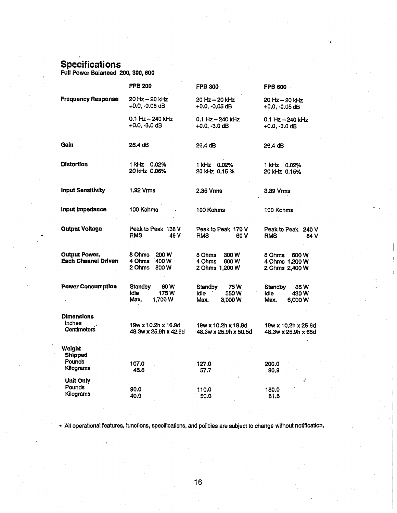# **Specifications**

Full Power Balanced 200, 300, **600**

|                                                   | <b>FPB 200</b>                                                  | <b>FPB 300</b>                                      | <b>FPB 600</b>                                      |
|---------------------------------------------------|-----------------------------------------------------------------|-----------------------------------------------------|-----------------------------------------------------|
| <b>Frequency Response</b>                         | 20 Hz - 20 kHz<br>+0.0, -0.05 dB                                | 20 Hz – 20 kHz<br>+0.0, -0.05 dB                    | 20 Hz - 20 kHz<br>$+0.0, -0.05$ dB                  |
|                                                   | 0.1 Hz - 240 kHz<br>$+0.0, -3.0$ dB                             | $0.1$ Hz $-$ 240 kHz<br>+0.0, -3.0 dB               | 0.1 Hz - 240 kHz<br>$+0.0, -3.0$ dB                 |
| Gain                                              | 26.4 dB                                                         | 26.4 dB                                             | 26.4 dB                                             |
| <b>Distortion</b>                                 | 1 kHz 0.02%<br>20 kHz 0.06%                                     | 1 kHz 0.02%<br>20 kHz 0.15 %                        | 1 kHz 0.02%<br>20 kHz 0.15%                         |
| <b>Input Sensitivity</b>                          | 1.92 Vrms                                                       | 2.35 Vrms                                           | 3.39 Vrms                                           |
| Input Impedance                                   | 100 Kohms                                                       | 100 Kohms                                           | 100 Kohms <sup>.</sup>                              |
| <b>Output Voltage</b>                             | Peak to Peak 138 V<br><b>RMS</b><br>49 V                        | Peak to Peak 170 V<br><b>RMS</b><br>60 V            | Peak to Peak 240 V<br><b>RMS</b><br>84 V            |
| <b>Output Power,</b><br>Each Channel Driven       | 8 Ohms<br>200 W<br>4 Ohms<br>400 W<br>2 Ohms<br>800 W           | 8 Ohms<br>300W<br>4 Ohms<br>600 W<br>2 Ohms 1,200 W | 8 Ohms<br>600 W<br>4 Ohms 1,200 W<br>2 Ohms 2,400 W |
| <b>Power Consumption</b>                          | <b>Standby</b><br>60 W<br><b>Idle</b><br>175W<br>Max.<br>1,700W | Standby<br>75W<br>Idle<br>350W<br>Max.<br>3.000W    | Standby<br>85W<br>ldle<br>430 W<br>Max.<br>6,000 W  |
| <b>Dimensions</b><br>Inches<br><b>Centimeters</b> | 19w x 10.2h x 16.9d<br>48.3w x 25.9h x 42.9d                    | 19w x 10.2h x 19.9d<br>48.3w x 25.9h x 50.5d        | 19w x 10.2h x 25.6d<br>48.3w x 25.9h x 65d          |
| Weiaht<br><b>Shipped</b><br>Pounds                | 107.0                                                           |                                                     |                                                     |
| Kilograms                                         | 48.6                                                            | 127.0<br>57.7                                       | 200.0<br>90,9                                       |
| <b>Unit Only</b><br>Pounds<br>Kilograms           | 90.0<br>40.9                                                    | 110.0<br>50.0                                       | 180.0<br>81.8                                       |
|                                                   |                                                                 |                                                     |                                                     |

All operational features, functions, specifications, and policies are subject to change without notification.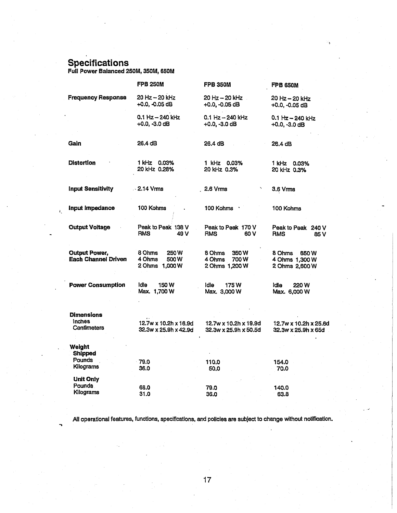# **Specifications**

 $\tilde{C}$ 

Full Power Balanced 250M, 350M, 650M

|                                                    | <b>FPB 250M</b>                                           | <b>FPB 350M</b>                                    | <b>FPB 650M</b>                                    |
|----------------------------------------------------|-----------------------------------------------------------|----------------------------------------------------|----------------------------------------------------|
| <b>Frequency Response</b>                          | 20 Hz - 20 kHz<br>$+0.0, -0.05$ dB                        | 20 Hz – 20 kHz<br>+0.0, -0.05 dB                   | 20 Hz - 20 kHz<br>+0.0, -0.05 dB                   |
|                                                    | 0.1 Hz - 240 kHz<br>$+0.0, -3.0$ dB                       | $0.1$ Hz $-$ 240 kHz<br>$+0.0, -3.0$ dB            | 0.1 Hz - 240 kHz<br>+0.0, -3.0 dB                  |
| Gain                                               | 26.4 dB                                                   | 26.4 dB                                            | 26.4 dB                                            |
| Distortion                                         | 1 kHz 0.03%<br>20 kHz 0.28%                               | 1 kHz 0.03%<br>20 kHz 0.3%                         | 1 kHz 0.03%<br>20 kHz 0.3%                         |
| <b>Input Sensitivity</b>                           | $\sim$ 2.14 Vrms                                          | 2.6 Vrms                                           | 3.6 Vrms                                           |
| Input Impedance                                    | 100 Kohms                                                 | 100 Kohms                                          | 100 Kohms                                          |
| <b>Output Voltage</b>                              | Peak to Peak 138 V<br><b>RMS</b><br>49 V                  | Peak to Peak 170 V<br>60 V<br><b>RMS</b>           | Peak to Peak 240 V<br><b>RMS</b><br>85 V           |
| <b>Output Power,</b><br><b>Each Channel Driven</b> | 8 Ohms<br><b>250W</b><br>4 Ohms<br>500W<br>2 Ohms 1,000 W | 8 Ohms<br>350W<br>4 Ohms<br>700W<br>2 Ohms 1,200 W | 8 Ohms<br>650W<br>4 Ohms 1,300 W<br>2 Ohms 2,600 W |
| <b>Power Consumption</b>                           | <b>Idle</b><br><b>150W</b><br>Max. 1,700 W                | <b>Idle</b><br>175 W<br>Max. 3,000 W               | ldle<br>220 W<br>Max. 6,000 W                      |
| <b>Dimensions</b><br><b>Inches</b><br>Centimeters  | 12.7w x 10.2h x 16.9d<br>32.3w x 25.9h x 42.9d            | 12.7w x 10.2h x 19.9d<br>32.3w x 25.9h x 50.5d     | 12.7w x 10.2h x 25.6d<br>32.3w x 25.9h x 65d       |
| Weight<br>Shipped<br>Pounds                        |                                                           |                                                    |                                                    |
| Kilograms                                          | $-79.0$<br>36.0                                           | 110.0<br>50.0                                      | 154.0<br>70.0                                      |
| <b>Unit Only</b><br>Pounds<br>Kilograms            | 68.0<br>31.0                                              | 79.0<br>36.0                                       | 140.0<br>63.8                                      |

All operational features, functions, specifications, and policies are subject to change without notification.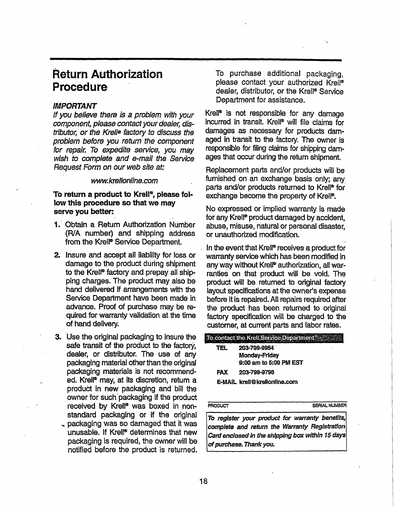# **Return Authorization Procedure**

#### IMPORTANT

If you believe there is a problem with your component, please contact your dealer, distributor, or the Krell® factory to discuss the problem before you return the component for repair. To expedite service, you may wish to complete and e-mail the Service Request Form on our web site at:

#### www.krel/online.com

#### To return a product to Krell®, **please follow this procedure so that we may serve you better:**

- 1. Obtain a Return Authorization Number (R/A number) and shipping address from the Krell<sup>®</sup> Service Department.
- 2. Insure and accept all liability for loss or 'damage to the product during shipment to the Krell® factory and prepay all shipping charges. The product may also be hand delivered if arrangements with the Service Department have been made in advance. Proof of purchase may be required for warranty validation at the time of hand delivery.
- **3.** Use the original packaging to insure the safe transit of the product to the factory, dealer, or distributor, The use of any packaging material other than the original packaging materials is not recommended. Krell<sup>®</sup> may, at its discretion, return a product in new packaging and bill the owner for such packaging if the product received by Krell<sup>®</sup> was boxed in nonstandard packaging or if the original packaging was so damaged that it was unusable. If Krell® determines that new packaging is required, the owner will be notified before the product is returned.

To purchase additional packaging, please contact your authorized Krell® dealer, distributor, or the Krell® Service Department for assistance.

Krel<sup>®</sup> is not responsible for any damage incurred in transit. Krell® will file claims for damages as necessary for products damaged in transit to the factory. The owner is responsible for filing claims for shipping damages that occur during the return shipment.

Replacement parts and/or products will be furnished on an exchange basis only; any parts and/or products returned to Krell® for exchange become the property of Krell<sup>®</sup>.

No expressed or implied warranty is made for any Krell<sup>®</sup> product damaged by accident, abuse, misuse, natural or personal disaster, or unauthorized modification.

In the event that Krell<sup>®</sup> receives a product for warranty service which has been modified in any way without Krell® authorization, all warranties on that product will be void. The product will be returned to original factory layout specifications at the owner's expense before it is repaired. All repairs required after the product has been returned to original factory specification will be charged to the customer, at current parts and labor rates.

|            | To contact the Krell Service Department $\mathbb{R}^n$ |  |  |
|------------|--------------------------------------------------------|--|--|
| TEL.       | 203-799-9954                                           |  |  |
|            | Monday-Friday                                          |  |  |
|            | 9:00 am to 5:00 PM EST                                 |  |  |
| <b>FAX</b> | 203-799-9796                                           |  |  |
|            | E-MAIL krell@krellonline.com                           |  |  |
|            |                                                        |  |  |

PRODUCT SERIAL NUMBER

To register your product for warranty benefits, **Complete and return the Warranty Registration Card enclosed in the shipping box within 15 days** [of **purchase. Thank** you. 1